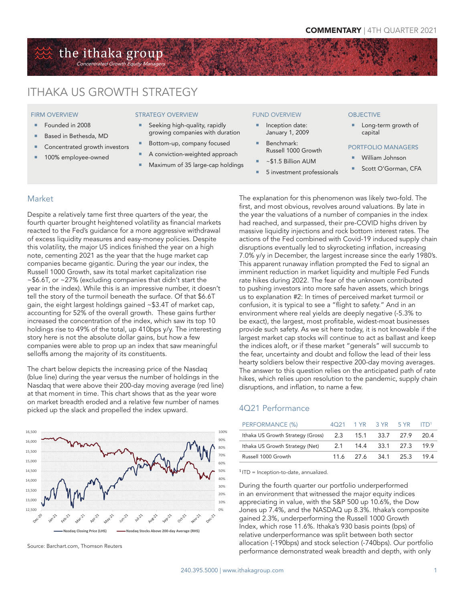## the ithaka group entrated Growth

# ITHAKA US GROWTH STRATEGY

#### FIRM OVERVIEW

- Founded in 2008
- Based in Bethesda, MD
- Concentrated growth investors
- 100% employee-owned

#### STRATEGY OVERVIEW

- Seeking high-quality, rapidly growing companies with duration
- Bottom-up, company focused
- A conviction-weighted approach
- Maximum of 35 large-cap holdings

#### FUND OVERVIEW

- Inception date: January 1, 2009
- Benchmark: Russell 1000 Growth
- ~\$1.5 Billion AUM
- 5 investment professionals

#### **OBJECTIVE**

 Long-term growth of capital

#### PORTFOLIO MANAGERS

- William Johnson
- Scott O'Gorman, CFA

### Market

Despite a relatively tame first three quarters of the year, the fourth quarter brought heightened volatility as financial markets reacted to the Fed's guidance for a more aggressive withdrawal of excess liquidity measures and easy-money policies. Despite this volatility, the major US indices finished the year on a high note, cementing 2021 as the year that the huge market cap companies became gigantic. During the year our index, the Russell 1000 Growth, saw its total market capitalization rise ~\$6.6T, or ~27% (excluding companies that didn't start the year in the index). While this is an impressive number, it doesn't tell the story of the turmoil beneath the surface. Of that \$6.6T gain, the eight largest holdings gained ~\$3.4T of market cap, accounting for 52% of the overall growth. These gains further increased the concentration of the index, which saw its top 10 holdings rise to 49% of the total, up 410bps y/y. The interesting story here is not the absolute dollar gains, but how a few companies were able to prop up an index that saw meaningful selloffs among the majority of its constituents.

The chart below depicts the increasing price of the Nasdaq (blue line) during the year versus the number of holdings in the Nasdaq that were above their 200-day moving average (red line) at that moment in time. This chart shows that as the year wore on market breadth eroded and a relative few number of names picked up the slack and propelled the index upward.

0% 10% 20% 30% 40% 50% 60% 70% 80% 90% 100% 12,500 13,000 13,500 14,000 14,500 15,000 15,500 16,000 16,500 **Nasdaq Closing Price (LHS) Nasdaq Stocks Above 200-day Average (RHS)**

The explanation for this phenomenon was likely two-fold. The first, and most obvious, revolves around valuations. By late in the year the valuations of a number of companies in the index had reached, and surpassed, their pre-COVID highs driven by massive liquidity injections and rock bottom interest rates. The actions of the Fed combined with Covid-19 induced supply chain disruptions eventually led to skyrocketing inflation, increasing 7.0% y/y in December, the largest increase since the early 1980's. This apparent runaway inflation prompted the Fed to signal an imminent reduction in market liquidity and multiple Fed Funds rate hikes during 2022. The fear of the unknown contributed to pushing investors into more safe haven assets, which brings us to explanation #2: In times of perceived market turmoil or confusion, it is typical to see a "flight to safety." And in an environment where real yields are deeply negative (-5.3% to be exact), the largest, most profitable, widest-moat businesses provide such safety. As we sit here today, it is not knowable if the largest market cap stocks will continue to act as ballast and keep the indices aloft, or if these market "generals" will succumb to the fear, uncertainty and doubt and follow the lead of their less hearty soldiers below their respective 200-day moving averages. The answer to this question relies on the anticipated path of rate hikes, which relies upon resolution to the pandemic, supply chain disruptions, and inflation, to name a few.

## 4Q21 Performance

| PERFORMANCE (%)                                      | $\Delta$ $\cap$ 21 |                    | $1 YR$ $3 YR$ $5 YR$ $1 T D$ <sup>1</sup> |        |
|------------------------------------------------------|--------------------|--------------------|-------------------------------------------|--------|
| Ithaka US Growth Strategy (Gross) 2.3 15.1 33.7 27.9 |                    |                    |                                           | - 20.4 |
| Ithaka US Growth Strategy (Net)                      |                    | 2.1 14.4 33.1 27.3 |                                           | 19.9   |
| Russell 1000 Growth                                  | 11.6               | 27.6 34.1 25.3     |                                           | 194    |

 $1$  ITD = Inception-to-date, annualized.

During the fourth quarter our portfolio underperformed in an environment that witnessed the major equity indices appreciating in value, with the S&P 500 up 10.6%, the Dow Jones up 7.4%, and the NASDAQ up 8.3%. Ithaka's composite gained 2.3%, underperforming the Russell 1000 Growth Index, which rose 11.6%. Ithaka's 930 basis points (bps) of relative underperformance was split between both sector allocation (-190bps) and stock selection (-740bps). Our portfolio performance demonstrated weak breadth and depth, with only Source: Barchart.com, Thomson Reuters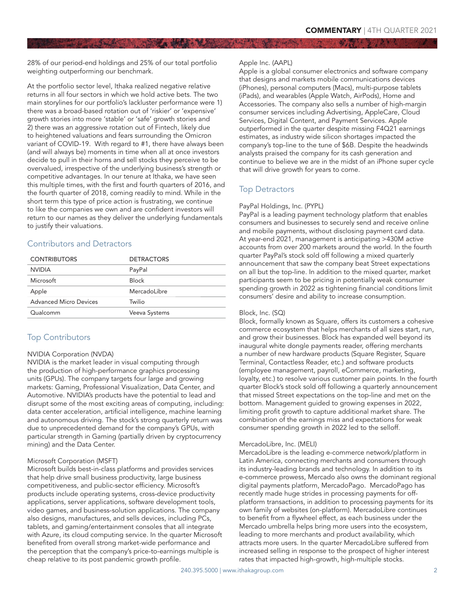28% of our period-end holdings and 25% of our total portfolio weighting outperforming our benchmark.

At the portfolio sector level, Ithaka realized negative relative returns in all four sectors in which we hold active bets. The two main storylines for our portfolio's lackluster performance were 1) there was a broad-based rotation out of 'riskier' or 'expensive' growth stories into more 'stable' or 'safe' growth stories and 2) there was an aggressive rotation out of Fintech, likely due to heightened valuations and fears surrounding the Omicron variant of COVID-19. With regard to #1, there have always been (and will always be) moments in time when all at once investors decide to pull in their horns and sell stocks they perceive to be overvalued, irrespective of the underlying business's strength or competitive advantages. In our tenure at Ithaka, we have seen this multiple times, with the first and fourth quarters of 2016, and the fourth quarter of 2018, coming readily to mind. While in the short term this type of price action is frustrating, we continue to like the companies we own and are confident investors will return to our names as they deliver the underlying fundamentals to justify their valuations.

# Contributors and Detractors

| <b>DETRACTORS</b> |  |
|-------------------|--|
| PayPal            |  |
| <b>Block</b>      |  |
| Mercadol ibre     |  |
| Twilio            |  |
| Veeva Systems     |  |
|                   |  |

# Top Contributors

#### NVIDIA Corporation (NVDA)

NVIDIA is the market leader in visual computing through the production of high-performance graphics processing units (GPUs). The company targets four large and growing markets: Gaming, Professional Visualization, Data Center, and Automotive. NVIDIA's products have the potential to lead and disrupt some of the most exciting areas of computing, including: data center acceleration, artificial intelligence, machine learning and autonomous driving. The stock's strong quarterly return was due to unprecedented demand for the company's GPUs, with particular strength in Gaming (partially driven by cryptocurrency mining) and the Data Center.

#### Microsoft Corporation (MSFT)

Microsoft builds best-in-class platforms and provides services that help drive small business productivity, large business competitiveness, and public-sector efficiency. Microsoft's products include operating systems, cross-device productivity applications, server applications, software development tools, video games, and business-solution applications. The company also designs, manufactures, and sells devices, including PCs, tablets, and gaming/entertainment consoles that all integrate with Azure, its cloud computing service. In the quarter Microsoft benefited from overall strong market-wide performance and the perception that the company's price-to-earnings multiple is cheap relative to its post pandemic growth profile.

#### Apple Inc. (AAPL)

Apple is a global consumer electronics and software company that designs and markets mobile communications devices (iPhones), personal computers (Macs), multi-purpose tablets (iPads), and wearables (Apple Watch, AirPods), Home and Accessories. The company also sells a number of high-margin consumer services including Advertising, AppleCare, Cloud Services, Digital Content, and Payment Services. Apple outperformed in the quarter despite missing F4Q21 earnings estimates, as industry wide silicon shortages impacted the company's top-line to the tune of \$6B. Despite the headwinds analysts praised the company for its cash generation and continue to believe we are in the midst of an iPhone super cycle that will drive growth for years to come.

# Top Detractors

### PayPal Holdings, Inc. (PYPL)

PayPal is a leading payment technology platform that enables consumers and businesses to securely send and receive online and mobile payments, without disclosing payment card data. At year-end 2021, management is anticipating >430M active accounts from over 200 markets around the world. In the fourth quarter PayPal's stock sold off following a mixed quarterly announcement that saw the company beat Street expectations on all but the top-line. In addition to the mixed quarter, market participants seem to be pricing in potentially weak consumer spending growth in 2022 as tightening financial conditions limit consumers' desire and ability to increase consumption.

#### Block, Inc. (SQ)

Block, formally known as Square, offers its customers a cohesive commerce ecosystem that helps merchants of all sizes start, run, and grow their businesses. Block has expanded well beyond its inaugural white dongle payments reader, offering merchants a number of new hardware products (Square Register, Square Terminal, Contactless Reader, etc.) and software products (employee management, payroll, eCommerce, marketing, loyalty, etc.) to resolve various customer pain points. In the fourth quarter Block's stock sold off following a quarterly announcement that missed Street expectations on the top-line and met on the bottom. Management guided to growing expenses in 2022, limiting profit growth to capture additional market share. The combination of the earnings miss and expectations for weak consumer spending growth in 2022 led to the selloff.

## MercadoLibre, Inc. (MELI)

MercadoLibre is the leading e-commerce network/platform in Latin America, connecting merchants and consumers through its industry-leading brands and technology. In addition to its e-commerce prowess, Mercado also owns the dominant regional digital payments platform, MercadoPago. MercadoPago has recently made huge strides in processing payments for offplatform transactions, in addition to processing payments for its own family of websites (on-platform). MercadoLibre continues to benefit from a flywheel effect, as each business under the Mercado umbrella helps bring more users into the ecosystem, leading to more merchants and product availability, which attracts more users. In the quarter MercadoLibre suffered from increased selling in response to the prospect of higher interest rates that impacted high-growth, high-multiple stocks.